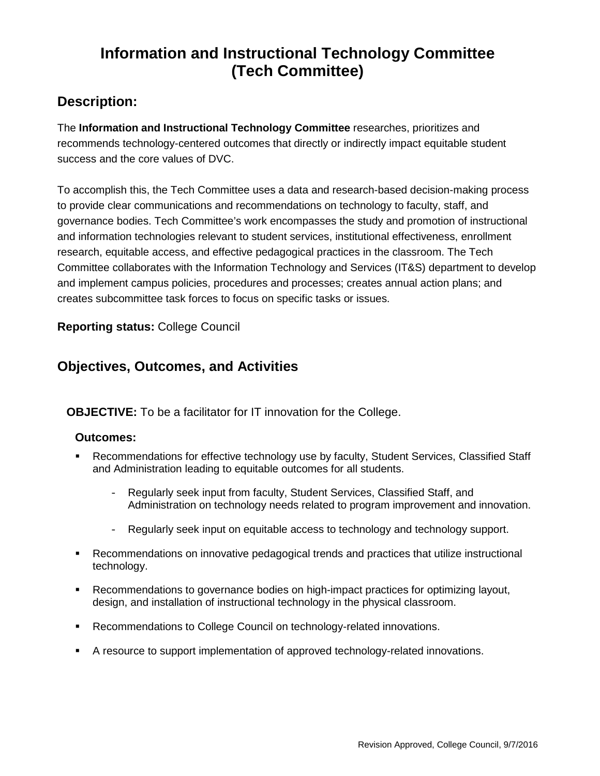# **Information and Instructional Technology Committee (Tech Committee)**

## **Description:**

The **Information and Instructional Technology Committee** researches, prioritizes and recommends technology-centered outcomes that directly or indirectly impact equitable student success and the core values of DVC.

To accomplish this, the Tech Committee uses a data and research-based decision-making process to provide clear communications and recommendations on technology to faculty, staff, and governance bodies. Tech Committee's work encompasses the study and promotion of instructional and information technologies relevant to student services, institutional effectiveness, enrollment research, equitable access, and effective pedagogical practices in the classroom. The Tech Committee collaborates with the Information Technology and Services (IT&S) department to develop and implement campus policies, procedures and processes; creates annual action plans; and creates subcommittee task forces to focus on specific tasks or issues.

**Reporting status:** College Council

### **Objectives, Outcomes, and Activities**

**OBJECTIVE:** To be a facilitator for IT innovation for the College.

#### **Outcomes:**

- Recommendations for effective technology use by faculty, Student Services, Classified Staff and Administration leading to equitable outcomes for all students.
	- Regularly seek input from faculty, Student Services, Classified Staff, and Administration on technology needs related to program improvement and innovation.
	- Regularly seek input on equitable access to technology and technology support.
- Recommendations on innovative pedagogical trends and practices that utilize instructional technology.
- Recommendations to governance bodies on high-impact practices for optimizing layout, design, and installation of instructional technology in the physical classroom.
- **Recommendations to College Council on technology-related innovations.**
- A resource to support implementation of approved technology-related innovations.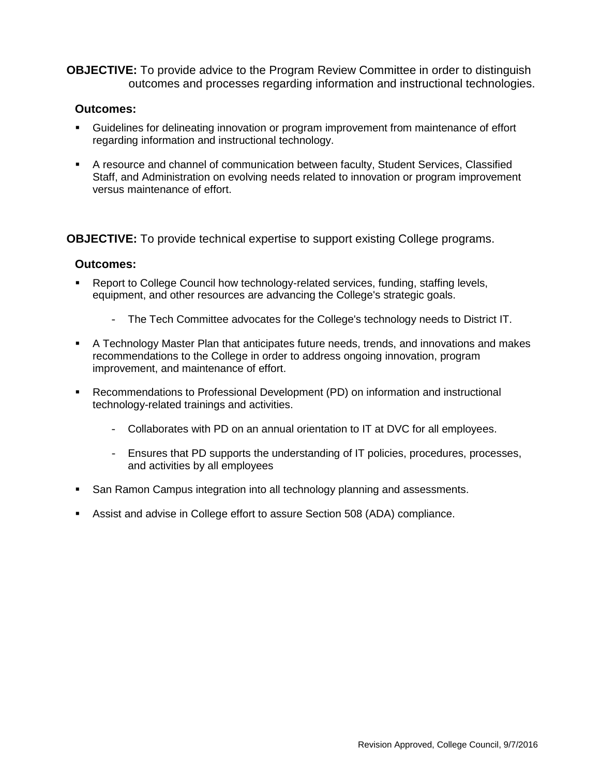**OBJECTIVE:** To provide advice to the Program Review Committee in order to distinguish outcomes and processes regarding information and instructional technologies.

#### **Outcomes:**

- Guidelines for delineating innovation or program improvement from maintenance of effort regarding information and instructional technology.
- A resource and channel of communication between faculty, Student Services, Classified Staff, and Administration on evolving needs related to innovation or program improvement versus maintenance of effort.

**OBJECTIVE:** To provide technical expertise to support existing College programs.

#### **Outcomes:**

- Report to College Council how technology-related services, funding, staffing levels, equipment, and other resources are advancing the College's strategic goals.
	- The Tech Committee advocates for the College's technology needs to District IT.
- A Technology Master Plan that anticipates future needs, trends, and innovations and makes recommendations to the College in order to address ongoing innovation, program improvement, and maintenance of effort.
- Recommendations to Professional Development (PD) on information and instructional technology-related trainings and activities.
	- Collaborates with PD on an annual orientation to IT at DVC for all employees.
	- Ensures that PD supports the understanding of IT policies, procedures, processes, and activities by all employees
- **San Ramon Campus integration into all technology planning and assessments.**
- Assist and advise in College effort to assure Section 508 (ADA) compliance.